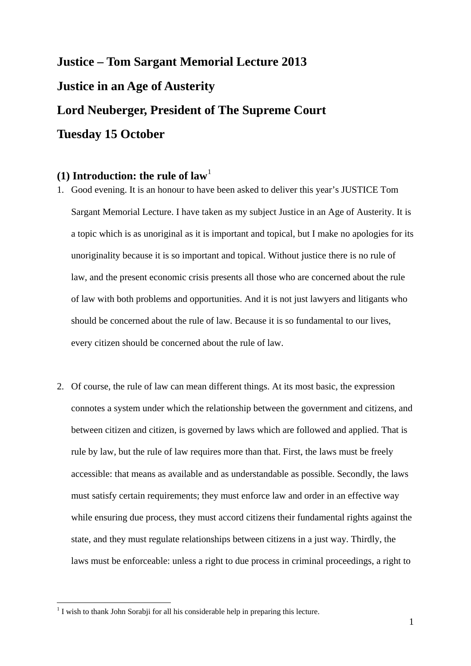# **Justice – Tom Sargant Memorial Lecture 2013 Justice in an Age of Austerity Lord Neuberger, President of The Supreme Court Tuesday 15 October**

## $(1)$  $(1)$  $(1)$  Introduction: the rule of law<sup>1</sup>

- 1. Good evening. It is an honour to have been asked to deliver this year's JUSTICE Tom Sargant Memorial Lecture. I have taken as my subject Justice in an Age of Austerity. It is a topic which is as unoriginal as it is important and topical, but I make no apologies for its unoriginality because it is so important and topical. Without justice there is no rule of law, and the present economic crisis presents all those who are concerned about the rule of law with both problems and opportunities. And it is not just lawyers and litigants who should be concerned about the rule of law. Because it is so fundamental to our lives, every citizen should be concerned about the rule of law.
- 2. Of course, the rule of law can mean different things. At its most basic, the expression connotes a system under which the relationship between the government and citizens, and between citizen and citizen, is governed by laws which are followed and applied. That is rule by law, but the rule of law requires more than that. First, the laws must be freely accessible: that means as available and as understandable as possible. Secondly, the laws must satisfy certain requirements; they must enforce law and order in an effective way while ensuring due process, they must accord citizens their fundamental rights against the state, and they must regulate relationships between citizens in a just way. Thirdly, the laws must be enforceable: unless a right to due process in criminal proceedings, a right to

<span id="page-0-0"></span> $<sup>1</sup>$  I wish to thank John Sorabji for all his considerable help in preparing this lecture.</sup>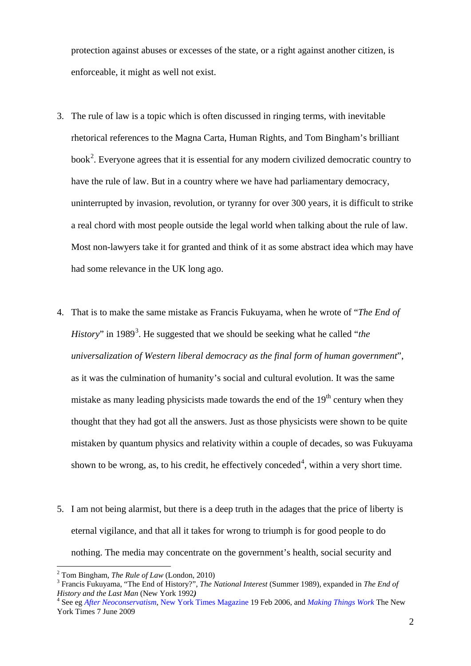protection against abuses or excesses of the state, or a right against another citizen, is enforceable, it might as well not exist.

- 3. The rule of law is a topic which is often discussed in ringing terms, with inevitable rhetorical references to the Magna Carta, Human Rights, and Tom Bingham's brilliant book<sup>[2](#page-1-0)</sup>. Everyone agrees that it is essential for any modern civilized democratic country to have the rule of law. But in a country where we have had parliamentary democracy, uninterrupted by invasion, revolution, or tyranny for over 300 years, it is difficult to strike a real chord with most people outside the legal world when talking about the rule of law. Most non-lawyers take it for granted and think of it as some abstract idea which may have had some relevance in the UK long ago.
- 4. That is to make the same mistake as Francis Fukuyama, when he wrote of "*The End of History*" in 1989<sup>[3](#page-1-1)</sup>. He suggested that we should be seeking what he called "*the universalization of Western [liberal democracy](http://en.wikipedia.org/wiki/Liberal_democracy) as the final form of human government*", as it was the culmination of humanity's [social and cultural evolution.](http://en.wikipedia.org/wiki/Sociocultural_evolution) It was the same mistake as many leading physicists made towards the end of the  $19<sup>th</sup>$  century when they thought that they had got all the answers. Just as those physicists were shown to be quite mistaken by quantum physics and relativity within a couple of decades, so was Fukuyama shown to be wrong, as, to his credit, he effectively conceded<sup>[4](#page-1-2)</sup>, within a very short time.
- 5. I am not being alarmist, but there is a deep truth in the adages that the price of liberty is eternal vigilance, and that all it takes for wrong to triumph is for good people to do nothing. The media may concentrate on the government's health, social security and

<u>.</u>

<span id="page-1-0"></span><sup>&</sup>lt;sup>2</sup> Tom Bingham, *The Rule of Law* (London, 2010)

<span id="page-1-1"></span>Francis Fukuyama, "The End of History?", *The National Interest* (Summer 1989), expanded in *The End of History and the Last Man* (New York 1992*)* <sup>4</sup>

<span id="page-1-2"></span> York Times 7 June 2009 See eg *After Neoconservatism*, New York Times Magazine 19 Feb 2006, and *Making Things Work* The New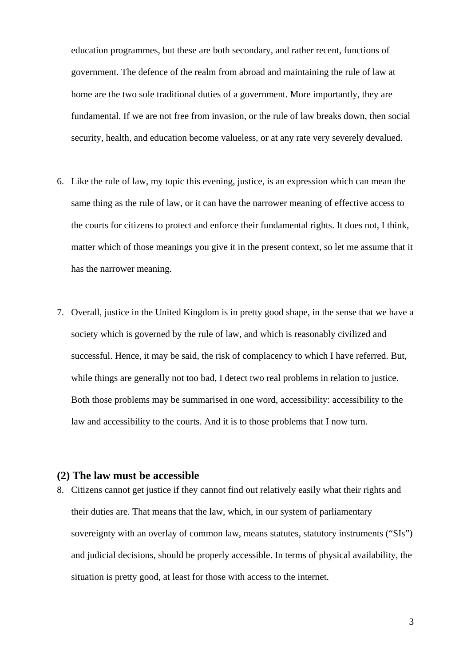education programmes, but these are both secondary, and rather recent, functions of government. The defence of the realm from abroad and maintaining the rule of law at home are the two sole traditional duties of a government. More importantly, they are fundamental. If we are not free from invasion, or the rule of law breaks down, then social security, health, and education become valueless, or at any rate very severely devalued.

- 6. Like the rule of law, my topic this evening, justice, is an expression which can mean the same thing as the rule of law, or it can have the narrower meaning of effective access to the courts for citizens to protect and enforce their fundamental rights. It does not, I think, matter which of those meanings you give it in the present context, so let me assume that it has the narrower meaning.
- 7. Overall, justice in the United Kingdom is in pretty good shape, in the sense that we have a society which is governed by the rule of law, and which is reasonably civilized and successful. Hence, it may be said, the risk of complacency to which I have referred. But, while things are generally not too bad, I detect two real problems in relation to justice. Both those problems may be summarised in one word, accessibility: accessibility to the law and accessibility to the courts. And it is to those problems that I now turn.

### **(2) The law must be accessible**

8. Citizens cannot get justice if they cannot find out relatively easily what their rights and their duties are. That means that the law, which, in our system of parliamentary sovereignty with an overlay of common law, means statutes, statutory instruments ("SIs") and judicial decisions, should be properly accessible. In terms of physical availability, the situation is pretty good, at least for those with access to the internet.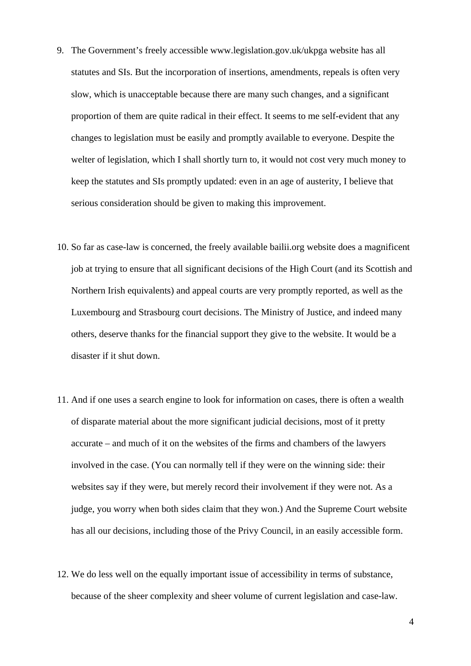- 9. The Government's freely accessible [www.legislation.gov.uk/ukpga](http://www.legislation.gov.uk/ukpga/) website has all statutes and SIs. But the incorporation of insertions, amendments, repeals is often very slow, which is unacceptable because there are many such changes, and a significant proportion of them are quite radical in their effect. It seems to me self-evident that any changes to legislation must be easily and promptly available to everyone. Despite the welter of legislation, which I shall shortly turn to, it would not cost very much money to keep the statutes and SIs promptly updated: even in an age of austerity, I believe that serious consideration should be given to making this improvement.
- 10. So far as case-law is concerned, the freely available bailii.org website does a magnificent job at trying to ensure that all significant decisions of the High Court (and its Scottish and Northern Irish equivalents) and appeal courts are very promptly reported, as well as the Luxembourg and Strasbourg court decisions. The Ministry of Justice, and indeed many others, deserve thanks for the financial support they give to the website. It would be a disaster if it shut down.
- 11. And if one uses a search engine to look for information on cases, there is often a wealth of disparate material about the more significant judicial decisions, most of it pretty accurate – and much of it on the websites of the firms and chambers of the lawyers involved in the case. (You can normally tell if they were on the winning side: their websites say if they were, but merely record their involvement if they were not. As a judge, you worry when both sides claim that they won.) And the Supreme Court website has all our decisions, including those of the Privy Council, in an easily accessible form.
- 12. We do less well on the equally important issue of accessibility in terms of substance, because of the sheer complexity and sheer volume of current legislation and case-law.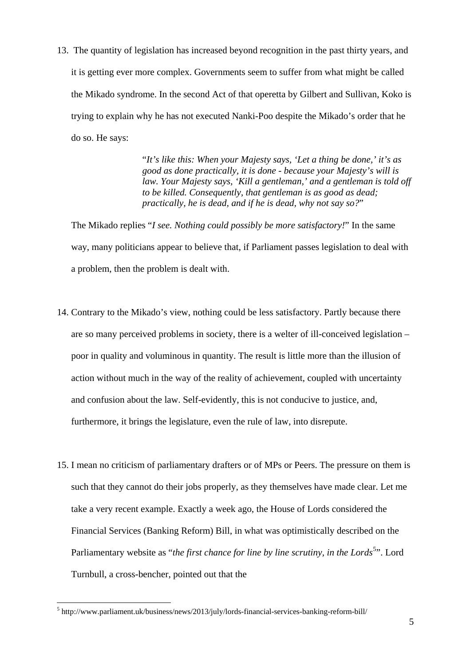13. The quantity of legislation has increased beyond recognition in the past thirty years, and it is getting ever more complex. Governments seem to suffer from what might be called the Mikado syndrome. In the second Act of that operetta by Gilbert and Sullivan, Koko is trying to explain why he has not executed Nanki-Poo despite the Mikado's order that he do so. He says:

> "*It's like this: When your Majesty says, 'Let a thing be done,' it's as good as done practically, it is done - because your Majesty's will is law. Your Majesty says, 'Kill a gentleman,' and a gentleman is told off to be killed. Consequently, that gentleman is as good as dead; practically, he is dead, and if he is dead, why not say so?*"

The Mikado replies "*I see. Nothing could possibly be more satisfactory!*" In the same way, many politicians appear to believe that, if Parliament passes legislation to deal with a problem, then the problem is dealt with.

- 14. Contrary to the Mikado's view, nothing could be less satisfactory. Partly because there are so many perceived problems in society, there is a welter of ill-conceived legislation – poor in quality and voluminous in quantity. The result is little more than the illusion of action without much in the way of the reality of achievement, coupled with uncertainty and confusion about the law. Self-evidently, this is not conducive to justice, and, furthermore, it brings the legislature, even the rule of law, into disrepute.
- 15. I mean no criticism of parliamentary drafters or of MPs or Peers. The pressure on them is such that they cannot do their jobs properly, as they themselves have made clear. Let me take a very recent example. Exactly a week ago, the House of Lords considered the Financial Services (Banking Reform) Bill, in what was optimistically described on the Parliamentary website as "*the first chance for line by line scrutiny, in the Lords*<sup>[5](#page-4-0)</sup>". Lord Turnbull, a cross-bencher, pointed out that the

<span id="page-4-0"></span><sup>&</sup>lt;sup>5</sup> http://www.parliament.uk/business/news/2013/july/lords-financial-services-banking-reform-bill/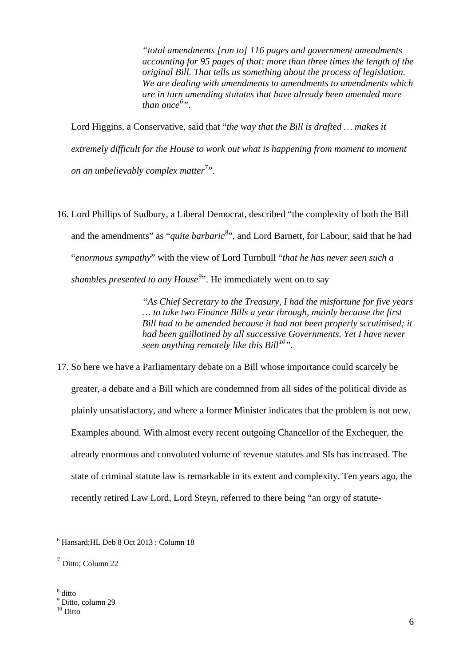*"total amendments [run to] 116 pages and government amendments accounting for 95 pages of that: more than three times the length of the original Bill. That tells us something about the process of legislation. We are dealing with amendments to amendments to amendments which are in turn amending statutes that have already been amended more than once[6](#page-5-0) "*.

Lord Higgins, a Conservative, said that "*the way that the Bill is drafted … makes it extremely difficult for the House to work out what is happening from moment to moment*  on an unbelievably complex matter<sup>[7](#page-5-1)</sup>".

16. Lord Phillips of Sudbury, a Liberal Democrat, described "the complexity of both the Bill and the amendments" as "*quite barbaric*<sup>[8](#page-5-2)</sup>", and Lord Barnett, for Labour, said that he had "*enormous sympathy*" with the view of Lord Turnbull "*that he has never seen such a*  shambles presented to any House<sup>[9](#page-5-3)</sup>". He immediately went on to say

> *"As Chief Secretary to the Treasury, I had the misfortune for five years … to take two Finance Bills a year through, mainly because the first Bill had to be amended because it had not been properly scrutinised; it had been guillotined by all successive Governments. Yet I have never seen anything remotely like this Bill[10"](#page-5-4).*

17. So here we have a Parliamentary debate on a Bill whose importance could scarcely be greater, a debate and a Bill which are condemned from all sides of the political divide as plainly unsatisfactory, and where a former Minister indicates that the problem is not new. Examples abound. With almost every recent outgoing Chancellor of the Exchequer, the already enormous and convoluted volume of revenue statutes and SIs has increased. The state of criminal statute law is remarkable in its extent and complexity. Ten years ago, the recently retired Law Lord, Lord Steyn, referred to there being "an orgy of statute-

<span id="page-5-0"></span><sup>6</sup> Hansard;HL Deb 8 Oct 2013 : Column 18

<span id="page-5-4"></span><span id="page-5-3"></span><span id="page-5-2"></span><span id="page-5-1"></span> $<sup>7</sup>$  Ditto: Column 22</sup>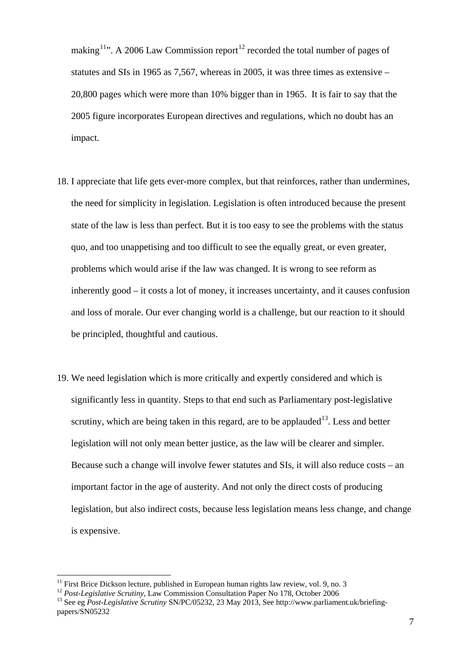making<sup>11</sup>". A 2006 Law Commission report<sup>12</sup> recorded the total number of pages of statutes and SIs in 1965 as 7,567, whereas in 2005, it was three times as extensive – 20,800 pages which were more than 10% bigger than in 1965. It is fair to say that the 2005 figure incorporates European directives and regulations, which no doubt has an impact.

- 18. I appreciate that life gets ever-more complex, but that reinforces, rather than undermines, the need for simplicity in legislation. Legislation is often introduced because the present state of the law is less than perfect. But it is too easy to see the problems with the status quo, and too unappetising and too difficult to see the equally great, or even greater, problems which would arise if the law was changed. It is wrong to see reform as inherently good – it costs a lot of money, it increases uncertainty, and it causes confusion and loss of morale. Our ever changing world is a challenge, but our reaction to it should be principled, thoughtful and cautious.
- 19. We need legislation which is more critically and expertly considered and which is significantly less in quantity. Steps to that end such as Parliamentary post-legislative scrutiny, which are being taken in this regard, are to be applauded<sup>13</sup>. Less and better legislation will not only mean better justice, as the law will be clearer and simpler. Because such a change will involve fewer statutes and SIs, it will also reduce costs – an important factor in the age of austerity. And not only the direct costs of producing legislation, but also indirect costs, because less legislation means less change, and change is expensive.

 $11$  First Brice Dickson lecture, published in European human rights law review, vol. 9, no. 3

<span id="page-6-2"></span><span id="page-6-1"></span><span id="page-6-0"></span><sup>&</sup>lt;sup>12</sup> Post-Legislative Scrutiny, Law Commission Consultation Paper No 178, October 2006<br><sup>13</sup> See eg *Post-Legislative Scrutiny* SN/PC/05232, 23 May 2013, See http://www.parliament.uk/briefingpapers/SN05232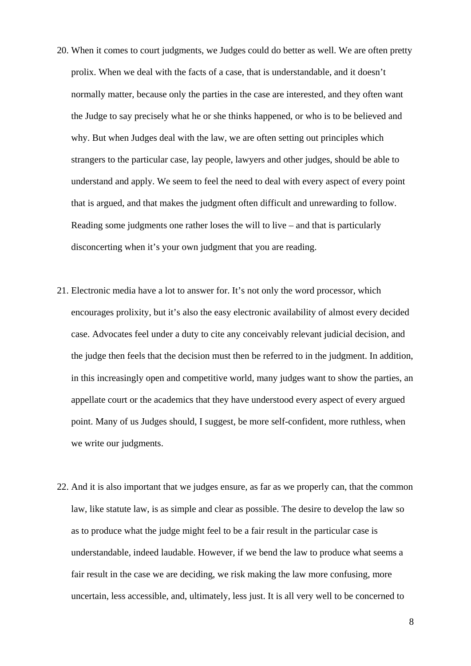- 20. When it comes to court judgments, we Judges could do better as well. We are often pretty prolix. When we deal with the facts of a case, that is understandable, and it doesn't normally matter, because only the parties in the case are interested, and they often want the Judge to say precisely what he or she thinks happened, or who is to be believed and why. But when Judges deal with the law, we are often setting out principles which strangers to the particular case, lay people, lawyers and other judges, should be able to understand and apply. We seem to feel the need to deal with every aspect of every point that is argued, and that makes the judgment often difficult and unrewarding to follow. Reading some judgments one rather loses the will to live – and that is particularly disconcerting when it's your own judgment that you are reading.
- 21. Electronic media have a lot to answer for. It's not only the word processor, which encourages prolixity, but it's also the easy electronic availability of almost every decided case. Advocates feel under a duty to cite any conceivably relevant judicial decision, and the judge then feels that the decision must then be referred to in the judgment. In addition, in this increasingly open and competitive world, many judges want to show the parties, an appellate court or the academics that they have understood every aspect of every argued point. Many of us Judges should, I suggest, be more self-confident, more ruthless, when we write our judgments.
- 22. And it is also important that we judges ensure, as far as we properly can, that the common law, like statute law, is as simple and clear as possible. The desire to develop the law so as to produce what the judge might feel to be a fair result in the particular case is understandable, indeed laudable. However, if we bend the law to produce what seems a fair result in the case we are deciding, we risk making the law more confusing, more uncertain, less accessible, and, ultimately, less just. It is all very well to be concerned to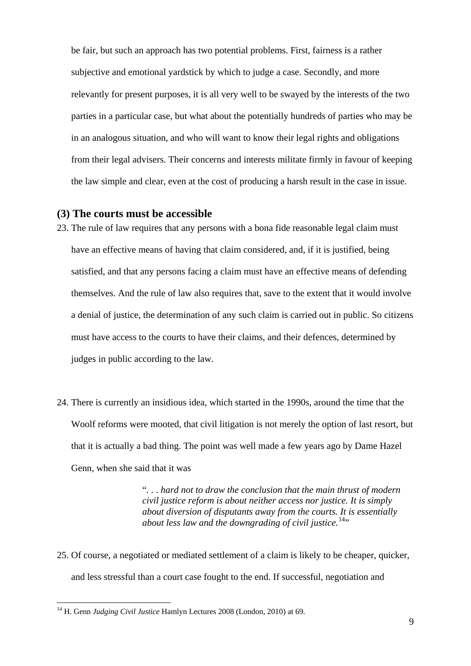be fair, but such an approach has two potential problems. First, fairness is a rather subjective and emotional yardstick by which to judge a case. Secondly, and more relevantly for present purposes, it is all very well to be swayed by the interests of the two parties in a particular case, but what about the potentially hundreds of parties who may be in an analogous situation, and who will want to know their legal rights and obligations from their legal advisers. Their concerns and interests militate firmly in favour of keeping the law simple and clear, even at the cost of producing a harsh result in the case in issue.

#### **(3) The courts must be accessible**

- 23. The rule of law requires that any persons with a bona fide reasonable legal claim must have an effective means of having that claim considered, and, if it is justified, being satisfied, and that any persons facing a claim must have an effective means of defending themselves. And the rule of law also requires that, save to the extent that it would involve a denial of justice, the determination of any such claim is carried out in public. So citizens must have access to the courts to have their claims, and their defences, determined by judges in public according to the law.
- 24. There is currently an insidious idea, which started in the 1990s, around the time that the Woolf reforms were mooted, that civil litigation is not merely the option of last resort, but that it is actually a bad thing. The point was well made a few years ago by Dame Hazel Genn, when she said that it was

"*. . . hard not to draw the conclusion that the main thrust of modern civil justice reform is about neither access nor justice. It is simply about diversion of disputants away from the courts. It is essentially about less law and the downgrading of civil justice.*<sup>[14](#page-8-0)</sup>"

25. Of course, a negotiated or mediated settlement of a claim is likely to be cheaper, quicker, and less stressful than a court case fought to the end. If successful, negotiation and

<span id="page-8-0"></span><sup>14</sup> H. Genn *Judging Civil Justice* Hamlyn Lectures 2008 (London, 2010) at 69.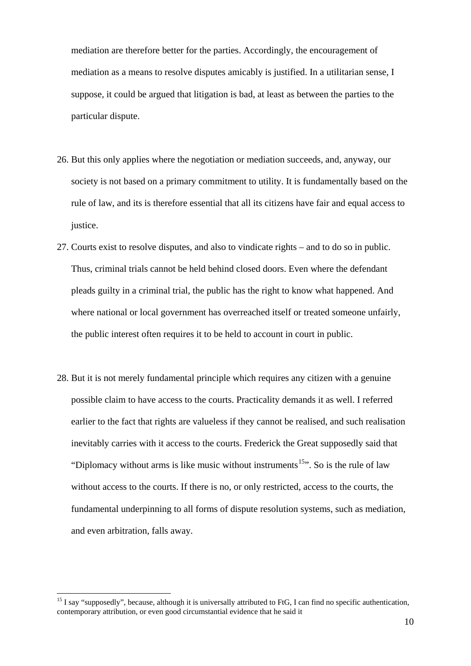mediation are therefore better for the parties. Accordingly, the encouragement of mediation as a means to resolve disputes amicably is justified. In a utilitarian sense, I suppose, it could be argued that litigation is bad, at least as between the parties to the particular dispute.

- 26. But this only applies where the negotiation or mediation succeeds, and, anyway, our society is not based on a primary commitment to utility. It is fundamentally based on the rule of law, and its is therefore essential that all its citizens have fair and equal access to justice.
- 27. Courts exist to resolve disputes, and also to vindicate rights and to do so in public. Thus, criminal trials cannot be held behind closed doors. Even where the defendant pleads guilty in a criminal trial, the public has the right to know what happened. And where national or local government has overreached itself or treated someone unfairly, the public interest often requires it to be held to account in court in public.
- 28. But it is not merely fundamental principle which requires any citizen with a genuine possible claim to have access to the courts. Practicality demands it as well. I referred earlier to the fact that rights are valueless if they cannot be realised, and such realisation inevitably carries with it access to the courts. Frederick the Great supposedly said that "Diplomacy without arms is like music without instruments<sup>[15](#page-9-0)</sup>". So is the rule of law without access to the courts. If there is no, or only restricted, access to the courts, the fundamental underpinning to all forms of dispute resolution systems, such as mediation, and even arbitration, falls away.

<u>.</u>

<span id="page-9-0"></span> contemporary attribution, or even good circumstantial evidence that he said it <sup>15</sup> I say "supposedly", because, although it is universally attributed to FtG. I can find no specific authentication,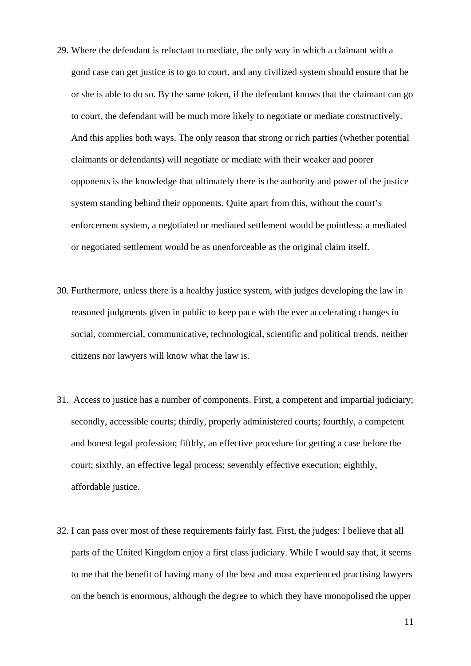- 29. Where the defendant is reluctant to mediate, the only way in which a claimant with a good case can get justice is to go to court, and any civilized system should ensure that he or she is able to do so. By the same token, if the defendant knows that the claimant can go to court, the defendant will be much more likely to negotiate or mediate constructively. And this applies both ways. The only reason that strong or rich parties (whether potential claimants or defendants) will negotiate or mediate with their weaker and poorer opponents is the knowledge that ultimately there is the authority and power of the justice system standing behind their opponents. Quite apart from this, without the court's enforcement system, a negotiated or mediated settlement would be pointless: a mediated or negotiated settlement would be as unenforceable as the original claim itself.
- 30. Furthermore, unless there is a healthy justice system, with judges developing the law in reasoned judgments given in public to keep pace with the ever accelerating changes in social, commercial, communicative, technological, scientific and political trends, neither citizens nor lawyers will know what the law is.
- 31. Access to justice has a number of components. First, a competent and impartial judiciary; secondly, accessible courts; thirdly, properly administered courts; fourthly, a competent and honest legal profession; fifthly, an effective procedure for getting a case before the court; sixthly, an effective legal process; seventhly effective execution; eighthly, affordable justice.
- 32. I can pass over most of these requirements fairly fast. First, the judges: I believe that all parts of the United Kingdom enjoy a first class judiciary. While I would say that, it seems to me that the benefit of having many of the best and most experienced practising lawyers on the bench is enormous, although the degree to which they have monopolised the upper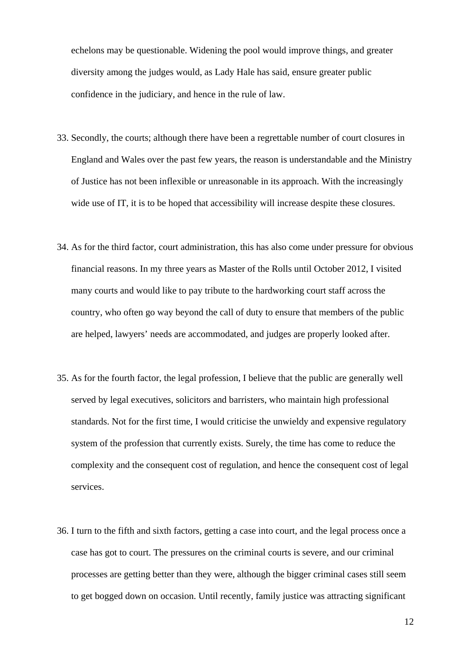echelons may be questionable. Widening the pool would improve things, and greater diversity among the judges would, as Lady Hale has said, ensure greater public confidence in the judiciary, and hence in the rule of law.

- 33. Secondly, the courts; although there have been a regrettable number of court closures in England and Wales over the past few years, the reason is understandable and the Ministry of Justice has not been inflexible or unreasonable in its approach. With the increasingly wide use of IT, it is to be hoped that accessibility will increase despite these closures.
- 34. As for the third factor, court administration, this has also come under pressure for obvious financial reasons. In my three years as Master of the Rolls until October 2012, I visited many courts and would like to pay tribute to the hardworking court staff across the country, who often go way beyond the call of duty to ensure that members of the public are helped, lawyers' needs are accommodated, and judges are properly looked after.
- 35. As for the fourth factor, the legal profession, I believe that the public are generally well served by legal executives, solicitors and barristers, who maintain high professional standards. Not for the first time, I would criticise the unwieldy and expensive regulatory system of the profession that currently exists. Surely, the time has come to reduce the complexity and the consequent cost of regulation, and hence the consequent cost of legal services.
- 36. I turn to the fifth and sixth factors, getting a case into court, and the legal process once a case has got to court. The pressures on the criminal courts is severe, and our criminal processes are getting better than they were, although the bigger criminal cases still seem to get bogged down on occasion. Until recently, family justice was attracting significant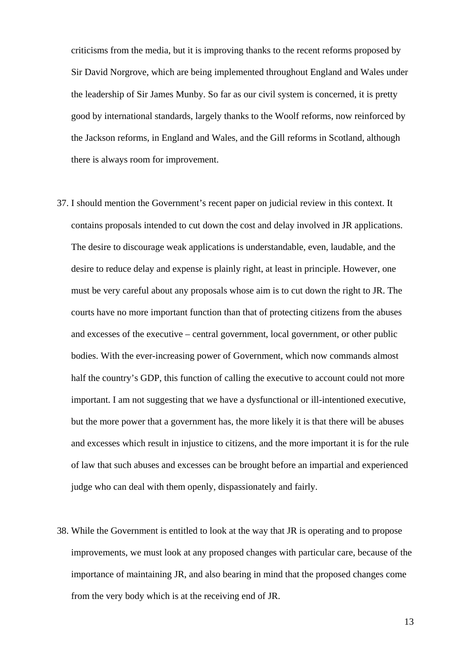criticisms from the media, but it is improving thanks to the recent reforms proposed by Sir David Norgrove, which are being implemented throughout England and Wales under the leadership of Sir James Munby. So far as our civil system is concerned, it is pretty good by international standards, largely thanks to the Woolf reforms, now reinforced by the Jackson reforms, in England and Wales, and the Gill reforms in Scotland, although there is always room for improvement.

- 37. I should mention the Government's recent paper on judicial review in this context. It contains proposals intended to cut down the cost and delay involved in JR applications. The desire to discourage weak applications is understandable, even, laudable, and the desire to reduce delay and expense is plainly right, at least in principle. However, one must be very careful about any proposals whose aim is to cut down the right to JR. The courts have no more important function than that of protecting citizens from the abuses and excesses of the executive – central government, local government, or other public bodies. With the ever-increasing power of Government, which now commands almost half the country's GDP, this function of calling the executive to account could not more important. I am not suggesting that we have a dysfunctional or ill-intentioned executive, but the more power that a government has, the more likely it is that there will be abuses and excesses which result in injustice to citizens, and the more important it is for the rule of law that such abuses and excesses can be brought before an impartial and experienced judge who can deal with them openly, dispassionately and fairly.
- 38. While the Government is entitled to look at the way that JR is operating and to propose improvements, we must look at any proposed changes with particular care, because of the importance of maintaining JR, and also bearing in mind that the proposed changes come from the very body which is at the receiving end of JR.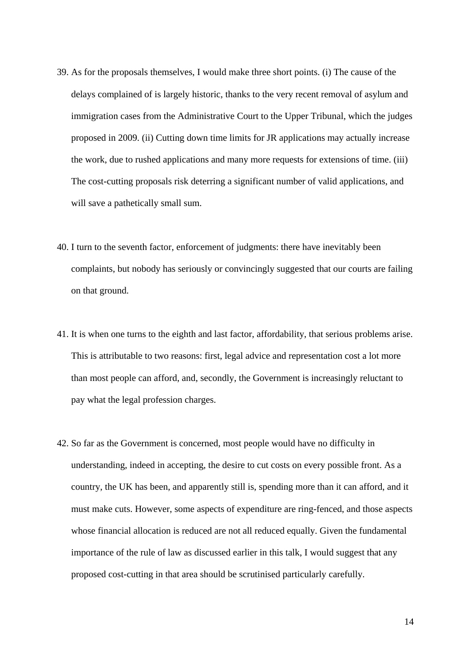- 39. As for the proposals themselves, I would make three short points. (i) The cause of the delays complained of is largely historic, thanks to the very recent removal of asylum and immigration cases from the Administrative Court to the Upper Tribunal, which the judges proposed in 2009. (ii) Cutting down time limits for JR applications may actually increase the work, due to rushed applications and many more requests for extensions of time. (iii) The cost-cutting proposals risk deterring a significant number of valid applications, and will save a pathetically small sum.
- 40. I turn to the seventh factor, enforcement of judgments: there have inevitably been complaints, but nobody has seriously or convincingly suggested that our courts are failing on that ground.
- 41. It is when one turns to the eighth and last factor, affordability, that serious problems arise. This is attributable to two reasons: first, legal advice and representation cost a lot more than most people can afford, and, secondly, the Government is increasingly reluctant to pay what the legal profession charges.
- 42. So far as the Government is concerned, most people would have no difficulty in understanding, indeed in accepting, the desire to cut costs on every possible front. As a country, the UK has been, and apparently still is, spending more than it can afford, and it must make cuts. However, some aspects of expenditure are ring-fenced, and those aspects whose financial allocation is reduced are not all reduced equally. Given the fundamental importance of the rule of law as discussed earlier in this talk, I would suggest that any proposed cost-cutting in that area should be scrutinised particularly carefully.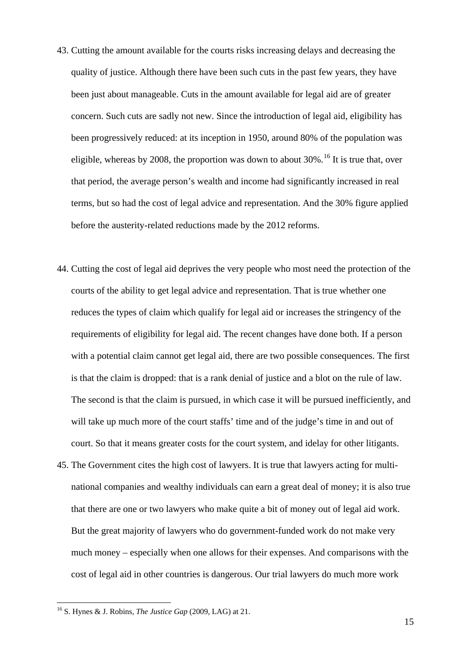- 43. Cutting the amount available for the courts risks increasing delays and decreasing the quality of justice. Although there have been such cuts in the past few years, they have been just about manageable. Cuts in the amount available for legal aid are of greater concern. Such cuts are sadly not new. Since the introduction of legal aid, eligibility has been progressively reduced: at its inception in 1950, around 80% of the population was eligible, whereas by 2008, the proportion was down to about  $30\%$ .<sup>[16](#page-14-0)</sup> It is true that, over that period, the average person's wealth and income had significantly increased in real terms, but so had the cost of legal advice and representation. And the 30% figure applied before the austerity-related reductions made by the 2012 reforms.
- 44. Cutting the cost of legal aid deprives the very people who most need the protection of the courts of the ability to get legal advice and representation. That is true whether one reduces the types of claim which qualify for legal aid or increases the stringency of the requirements of eligibility for legal aid. The recent changes have done both. If a person with a potential claim cannot get legal aid, there are two possible consequences. The first is that the claim is dropped: that is a rank denial of justice and a blot on the rule of law. The second is that the claim is pursued, in which case it will be pursued inefficiently, and will take up much more of the court staffs' time and of the judge's time in and out of court. So that it means greater costs for the court system, and idelay for other litigants.
- 45. The Government cites the high cost of lawyers. It is true that lawyers acting for multinational companies and wealthy individuals can earn a great deal of money; it is also true that there are one or two lawyers who make quite a bit of money out of legal aid work. But the great majority of lawyers who do government-funded work do not make very much money – especially when one allows for their expenses. And comparisons with the cost of legal aid in other countries is dangerous. Our trial lawyers do much more work

<span id="page-14-0"></span><sup>16</sup> S. Hynes & J. Robins, *The Justice Gap* (2009, LAG) at 21.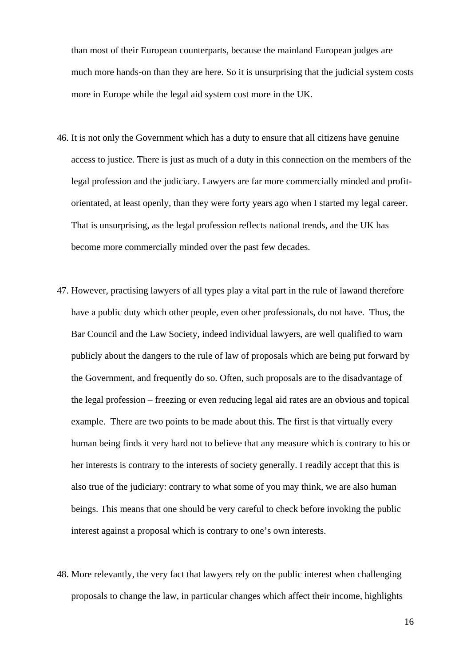than most of their European counterparts, because the mainland European judges are much more hands-on than they are here. So it is unsurprising that the judicial system costs more in Europe while the legal aid system cost more in the UK.

- 46. It is not only the Government which has a duty to ensure that all citizens have genuine access to justice. There is just as much of a duty in this connection on the members of the legal profession and the judiciary. Lawyers are far more commercially minded and profitorientated, at least openly, than they were forty years ago when I started my legal career. That is unsurprising, as the legal profession reflects national trends, and the UK has become more commercially minded over the past few decades.
- 47. However, practising lawyers of all types play a vital part in the rule of lawand therefore have a public duty which other people, even other professionals, do not have. Thus, the Bar Council and the Law Society, indeed individual lawyers, are well qualified to warn publicly about the dangers to the rule of law of proposals which are being put forward by the Government, and frequently do so. Often, such proposals are to the disadvantage of the legal profession – freezing or even reducing legal aid rates are an obvious and topical example. There are two points to be made about this. The first is that virtually every human being finds it very hard not to believe that any measure which is contrary to his or her interests is contrary to the interests of society generally. I readily accept that this is also true of the judiciary: contrary to what some of you may think, we are also human beings. This means that one should be very careful to check before invoking the public interest against a proposal which is contrary to one's own interests.
- 48. More relevantly, the very fact that lawyers rely on the public interest when challenging proposals to change the law, in particular changes which affect their income, highlights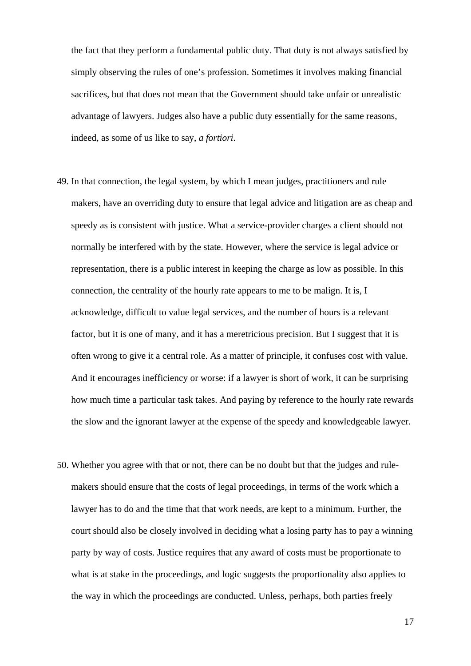the fact that they perform a fundamental public duty. That duty is not always satisfied by simply observing the rules of one's profession. Sometimes it involves making financial sacrifices, but that does not mean that the Government should take unfair or unrealistic advantage of lawyers. Judges also have a public duty essentially for the same reasons, indeed, as some of us like to say, *a fortiori*.

- 49. In that connection, the legal system, by which I mean judges, practitioners and rule makers, have an overriding duty to ensure that legal advice and litigation are as cheap and speedy as is consistent with justice. What a service-provider charges a client should not normally be interfered with by the state. However, where the service is legal advice or representation, there is a public interest in keeping the charge as low as possible. In this connection, the centrality of the hourly rate appears to me to be malign. It is, I acknowledge, difficult to value legal services, and the number of hours is a relevant factor, but it is one of many, and it has a meretricious precision. But I suggest that it is often wrong to give it a central role. As a matter of principle, it confuses cost with value. And it encourages inefficiency or worse: if a lawyer is short of work, it can be surprising how much time a particular task takes. And paying by reference to the hourly rate rewards the slow and the ignorant lawyer at the expense of the speedy and knowledgeable lawyer.
- 50. Whether you agree with that or not, there can be no doubt but that the judges and rulemakers should ensure that the costs of legal proceedings, in terms of the work which a lawyer has to do and the time that that work needs, are kept to a minimum. Further, the court should also be closely involved in deciding what a losing party has to pay a winning party by way of costs. Justice requires that any award of costs must be proportionate to what is at stake in the proceedings, and logic suggests the proportionality also applies to the way in which the proceedings are conducted. Unless, perhaps, both parties freely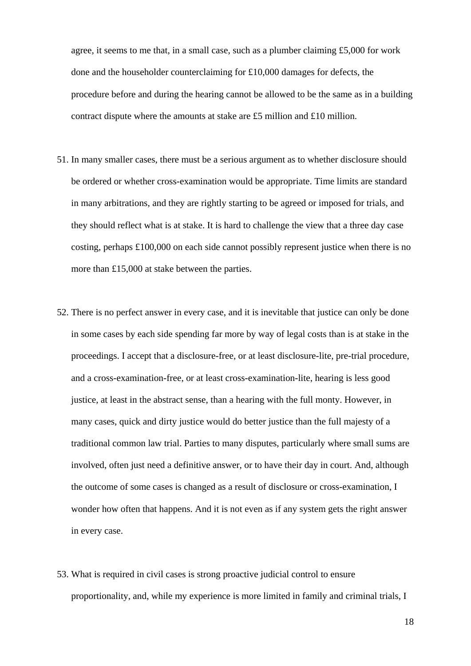agree, it seems to me that, in a small case, such as a plumber claiming £5,000 for work done and the householder counterclaiming for £10,000 damages for defects, the procedure before and during the hearing cannot be allowed to be the same as in a building contract dispute where the amounts at stake are £5 million and £10 million.

- 51. In many smaller cases, there must be a serious argument as to whether disclosure should be ordered or whether cross-examination would be appropriate. Time limits are standard in many arbitrations, and they are rightly starting to be agreed or imposed for trials, and they should reflect what is at stake. It is hard to challenge the view that a three day case costing, perhaps £100,000 on each side cannot possibly represent justice when there is no more than £15,000 at stake between the parties.
- 52. There is no perfect answer in every case, and it is inevitable that justice can only be done in some cases by each side spending far more by way of legal costs than is at stake in the proceedings. I accept that a disclosure-free, or at least disclosure-lite, pre-trial procedure, and a cross-examination-free, or at least cross-examination-lite, hearing is less good justice, at least in the abstract sense, than a hearing with the full monty. However, in many cases, quick and dirty justice would do better justice than the full majesty of a traditional common law trial. Parties to many disputes, particularly where small sums are involved, often just need a definitive answer, or to have their day in court. And, although the outcome of some cases is changed as a result of disclosure or cross-examination, I wonder how often that happens. And it is not even as if any system gets the right answer in every case.
- 53. What is required in civil cases is strong proactive judicial control to ensure proportionality, and, while my experience is more limited in family and criminal trials, I